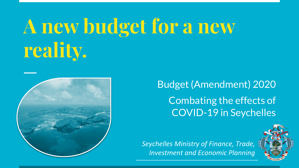# **A new budget for a new reality.**



Budget (Amendment) 2020 Combating the effects of COVID-19 in Seychelles

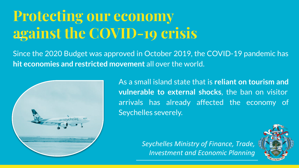# **Protecting our economy against the COVID-19 crisis**

Since the 2020 Budget was approved in October 2019, the COVID-19 pandemic has **hit economies and restricted movement** all over the world.



As a small island state that is **reliant on tourism and vulnerable to external shocks**, the ban on visitor arrivals has already affected the economy of Seychelles severely.

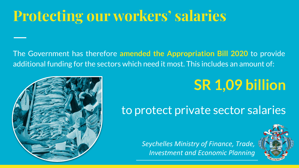### **Protecting our workers' salaries**

The Government has therefore **amended the Appropriation Bill 2020** to provide additional funding for the sectors which need it most. This includes an amount of:

### **SR 1,09 billion**

#### to protect private sector salaries



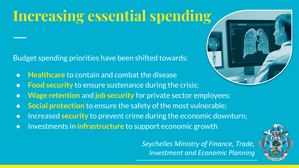# **Increasing essential spending**

Budget spending priorities have been shifted towards:

- **Healthcare** to contain and combat the disease
- **Food security** to ensure sustenance during the crisis;
- **Wage retention** and **job security** for private sector employees;
- **Social protection** to ensure the safety of the most vulnerable;
- Increased **security** to prevent crime during the economic downturn;
- Investments in **infrastructure** to support economic growth



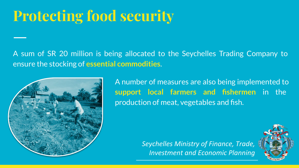### **Protecting food security**

A sum of SR 20 million is being allocated to the Seychelles Trading Company to ensure the stocking of **essential commodities**.



A number of measures are also being implemented to **support local farmers and fishermen** in the production of meat, vegetables and fish.

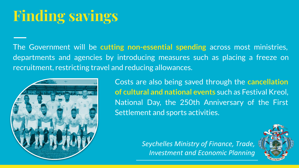# **Finding savings**

The Government will be **cutting non-essential spending** across most ministries, departments and agencies by introducing measures such as placing a freeze on recruitment, restricting travel and reducing allowances.



Costs are also being saved through the **cancellation of cultural and national events** such as Festival Kreol, National Day, the 250th Anniversary of the First Settlement and sports activities.